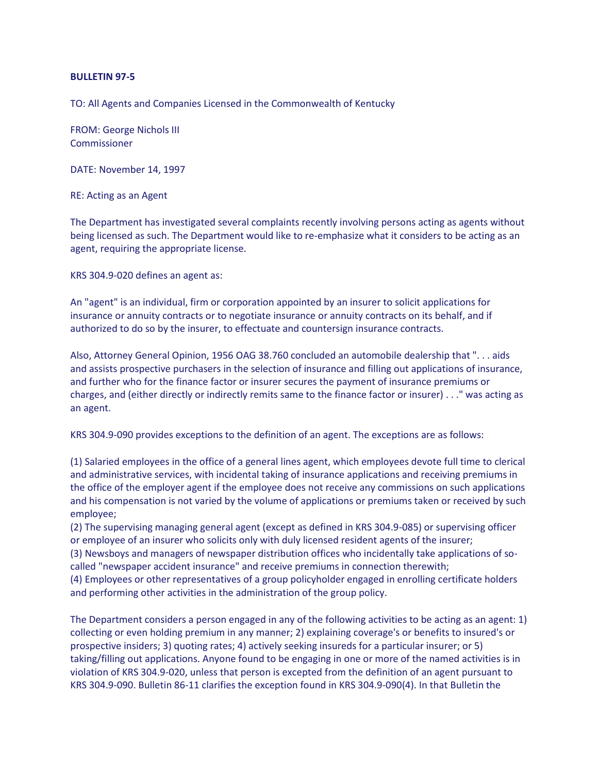## **BULLETIN 97-5**

TO: All Agents and Companies Licensed in the Commonwealth of Kentucky

FROM: George Nichols III Commissioner

DATE: November 14, 1997

RE: Acting as an Agent

The Department has investigated several complaints recently involving persons acting as agents without being licensed as such. The Department would like to re-emphasize what it considers to be acting as an agent, requiring the appropriate license.

KRS 304.9-020 defines an agent as:

An "agent" is an individual, firm or corporation appointed by an insurer to solicit applications for insurance or annuity contracts or to negotiate insurance or annuity contracts on its behalf, and if authorized to do so by the insurer, to effectuate and countersign insurance contracts.

Also, Attorney General Opinion, 1956 OAG 38.760 concluded an automobile dealership that ". . . aids and assists prospective purchasers in the selection of insurance and filling out applications of insurance, and further who for the finance factor or insurer secures the payment of insurance premiums or charges, and (either directly or indirectly remits same to the finance factor or insurer) . . ." was acting as an agent.

KRS 304.9-090 provides exceptions to the definition of an agent. The exceptions are as follows:

(1) Salaried employees in the office of a general lines agent, which employees devote full time to clerical and administrative services, with incidental taking of insurance applications and receiving premiums in the office of the employer agent if the employee does not receive any commissions on such applications and his compensation is not varied by the volume of applications or premiums taken or received by such employee;

(2) The supervising managing general agent (except as defined in KRS 304.9-085) or supervising officer or employee of an insurer who solicits only with duly licensed resident agents of the insurer;

(3) Newsboys and managers of newspaper distribution offices who incidentally take applications of socalled "newspaper accident insurance" and receive premiums in connection therewith;

(4) Employees or other representatives of a group policyholder engaged in enrolling certificate holders and performing other activities in the administration of the group policy.

The Department considers a person engaged in any of the following activities to be acting as an agent: 1) collecting or even holding premium in any manner; 2) explaining coverage's or benefits to insured's or prospective insiders; 3) quoting rates; 4) actively seeking insureds for a particular insurer; or 5) taking/filling out applications. Anyone found to be engaging in one or more of the named activities is in violation of KRS 304.9-020, unless that person is excepted from the definition of an agent pursuant to KRS 304.9-090. Bulletin 86-11 clarifies the exception found in KRS 304.9-090(4). In that Bulletin the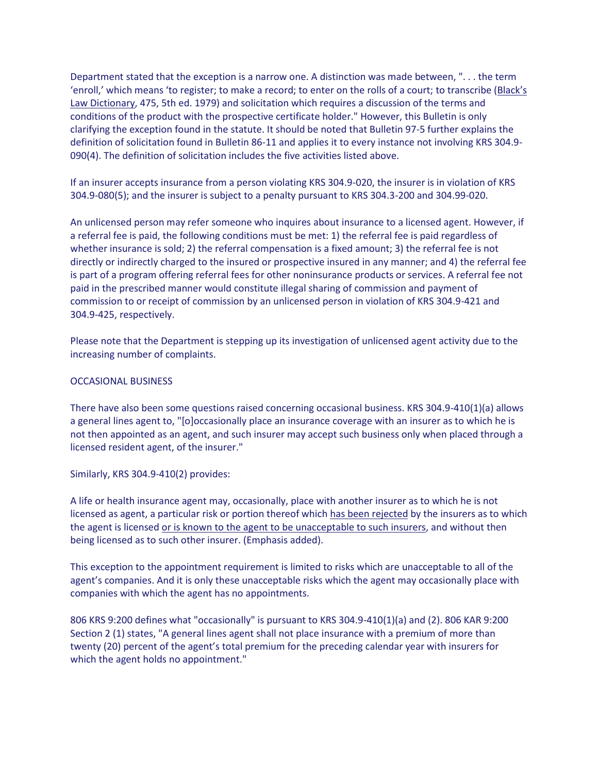Department stated that the exception is a narrow one. A distinction was made between, ". . . the term 'enroll,' which means 'to register; to make a record; to enter on the rolls of a court; to transcribe (Black's Law Dictionary, 475, 5th ed. 1979) and solicitation which requires a discussion of the terms and conditions of the product with the prospective certificate holder." However, this Bulletin is only clarifying the exception found in the statute. It should be noted that Bulletin 97-5 further explains the definition of solicitation found in Bulletin 86-11 and applies it to every instance not involving KRS 304.9- 090(4). The definition of solicitation includes the five activities listed above.

If an insurer accepts insurance from a person violating KRS 304.9-020, the insurer is in violation of KRS 304.9-080(5); and the insurer is subject to a penalty pursuant to KRS 304.3-200 and 304.99-020.

An unlicensed person may refer someone who inquires about insurance to a licensed agent. However, if a referral fee is paid, the following conditions must be met: 1) the referral fee is paid regardless of whether insurance is sold; 2) the referral compensation is a fixed amount; 3) the referral fee is not directly or indirectly charged to the insured or prospective insured in any manner; and 4) the referral fee is part of a program offering referral fees for other noninsurance products or services. A referral fee not paid in the prescribed manner would constitute illegal sharing of commission and payment of commission to or receipt of commission by an unlicensed person in violation of KRS 304.9-421 and 304.9-425, respectively.

Please note that the Department is stepping up its investigation of unlicensed agent activity due to the increasing number of complaints.

## OCCASIONAL BUSINESS

There have also been some questions raised concerning occasional business. KRS 304.9-410(1)(a) allows a general lines agent to, "[o]occasionally place an insurance coverage with an insurer as to which he is not then appointed as an agent, and such insurer may accept such business only when placed through a licensed resident agent, of the insurer."

Similarly, KRS 304.9-410(2) provides:

A life or health insurance agent may, occasionally, place with another insurer as to which he is not licensed as agent, a particular risk or portion thereof which has been rejected by the insurers as to which the agent is licensed or is known to the agent to be unacceptable to such insurers, and without then being licensed as to such other insurer. (Emphasis added).

This exception to the appointment requirement is limited to risks which are unacceptable to all of the agent's companies. And it is only these unacceptable risks which the agent may occasionally place with companies with which the agent has no appointments.

806 KRS 9:200 defines what "occasionally" is pursuant to KRS 304.9-410(1)(a) and (2). 806 KAR 9:200 Section 2 (1) states, "A general lines agent shall not place insurance with a premium of more than twenty (20) percent of the agent's total premium for the preceding calendar year with insurers for which the agent holds no appointment."